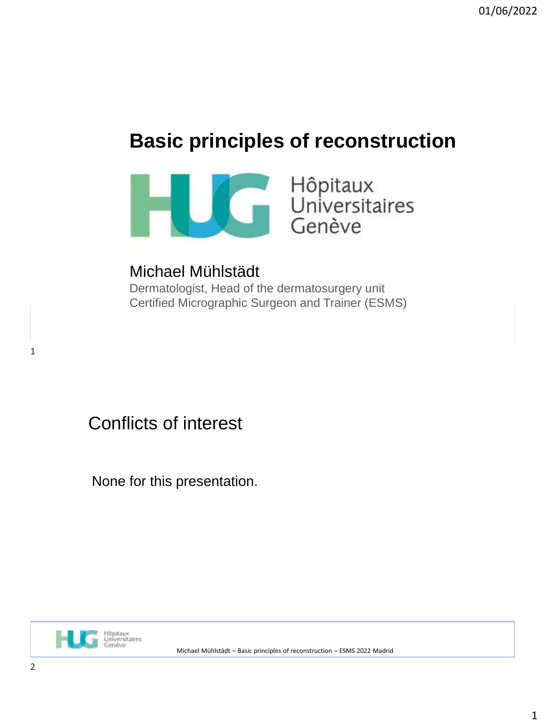# **Basic principles of reconstruction**



Michael Mühlstädt Dermatologist, Head of the dermatosurgery unit Certified Micrographic Surgeon and Trainer (ESMS)

Conflicts of interest

None for this presentation.

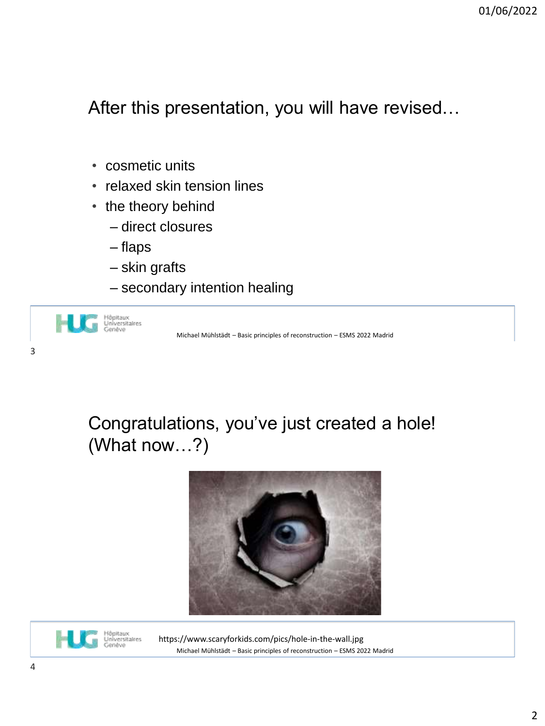After this presentation, you will have revised…

- cosmetic units
- relaxed skin tension lines
- the theory behind
	- direct closures
	- flaps
	- skin grafts
	- secondary intention healing



## Congratulations, you've just created a hole! (What now…?)





Michael Mühlstädt – Basic principles of reconstruction – ESMS 2022 Madrid https://www.scaryforkids.com/pics/hole-in-the-wall.jpg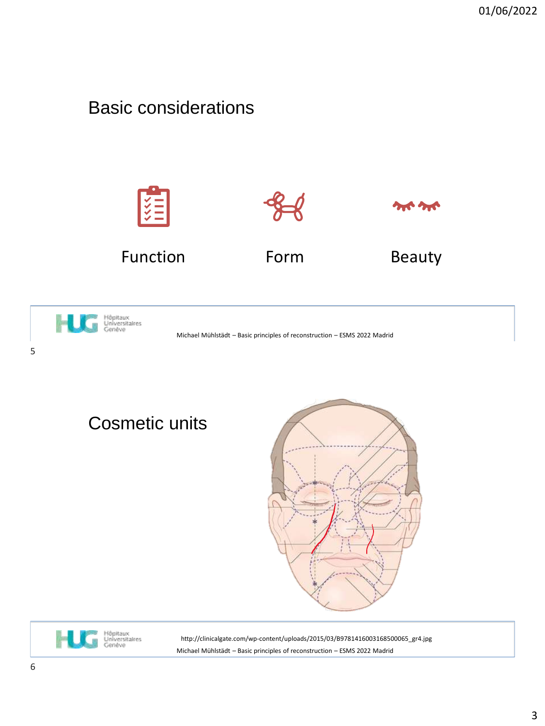#### Basic considerations





Michael Mühlstädt – Basic principles of reconstruction – ESMS 2022 Madrid

5

Cosmetic units





Michael Mühlstädt – Basic principles of reconstruction – ESMS 2022 Madrid http://clinicalgate.com/wp-content/uploads/2015/03/B9781416003168500065\_gr4.jpg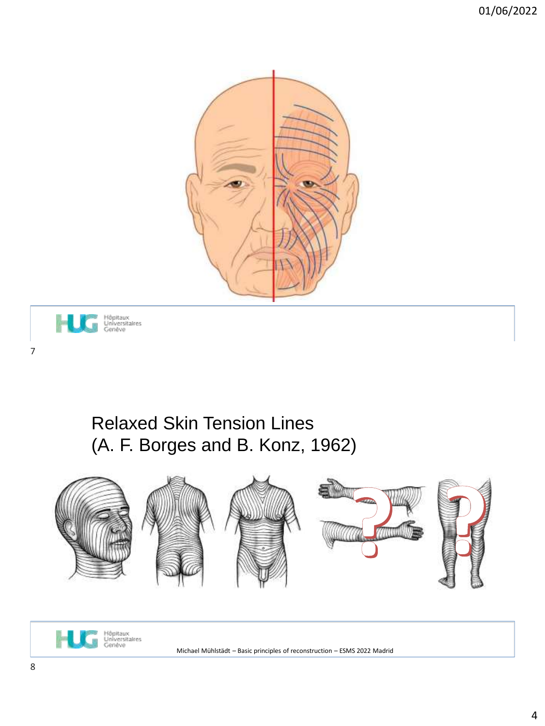



## Relaxed Skin Tension Lines (A. F. Borges and B. Konz, 1962)



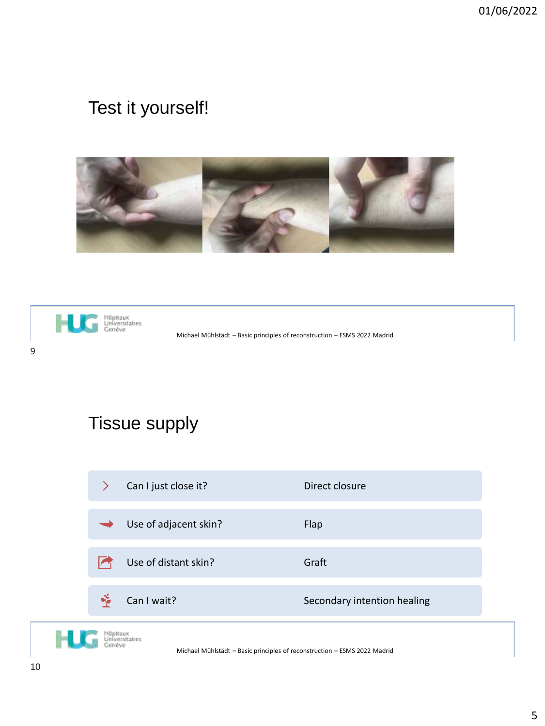## Test it yourself!





Michael Mühlstädt – Basic principles of reconstruction – ESMS 2022 Madrid

# Tissue supply

|                            | ⋗ | Can I just close it?  | Direct closure              |
|----------------------------|---|-----------------------|-----------------------------|
|                            |   | Use of adjacent skin? | Flap                        |
|                            |   | Use of distant skin?  | Graft                       |
|                            |   | Can I wait?           | Secondary intention healing |
| Höpitaux<br>Universitaires |   |                       |                             |

Michael Mühlstädt – Basic principles of reconstruction – ESMS 2022 Madrid

H.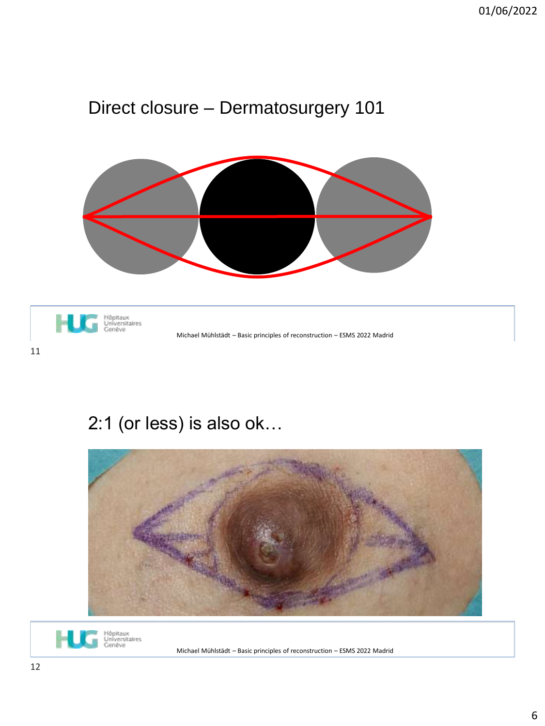## Direct closure – Dermatosurgery 101



h Hôpitaux<br>Universitaires<br>Genêve Michael Mühlstädt – Basic principles of reconstruction – ESMS 2022 Madrid

## 2:1 (or less) is also ok…



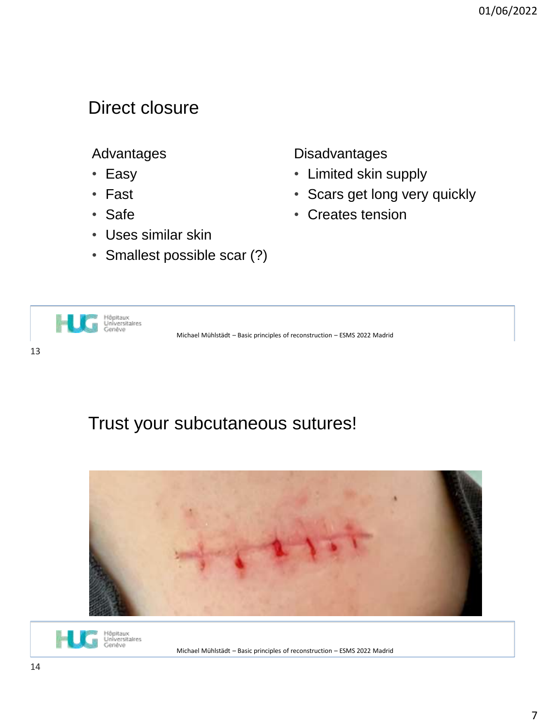#### Direct closure

#### Advantages

- Easy
- Fast
- Safe
- Uses similar skin
- Smallest possible scar (?)

**Disadvantages** 

- Limited skin supply
- Scars get long very quickly
- Creates tension



### Trust your subcutaneous sutures!



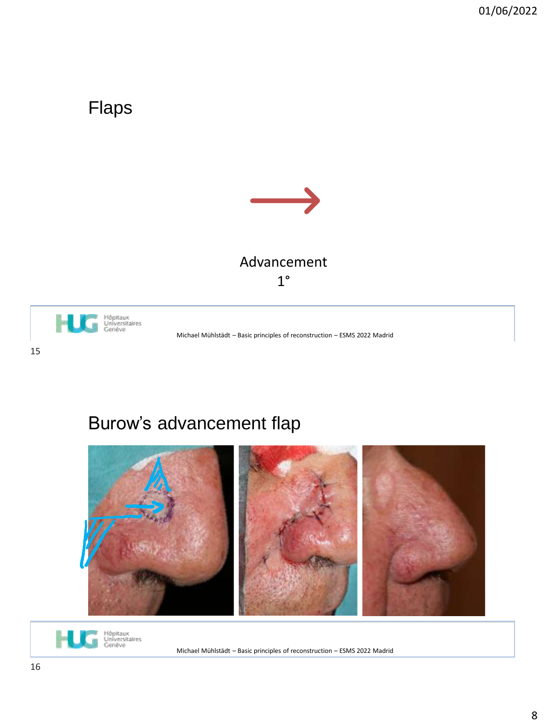### Flaps



#### Advancement 1°



Michael Mühlstädt – Basic principles of reconstruction – ESMS 2022 Madrid

## Burow's advancement flap



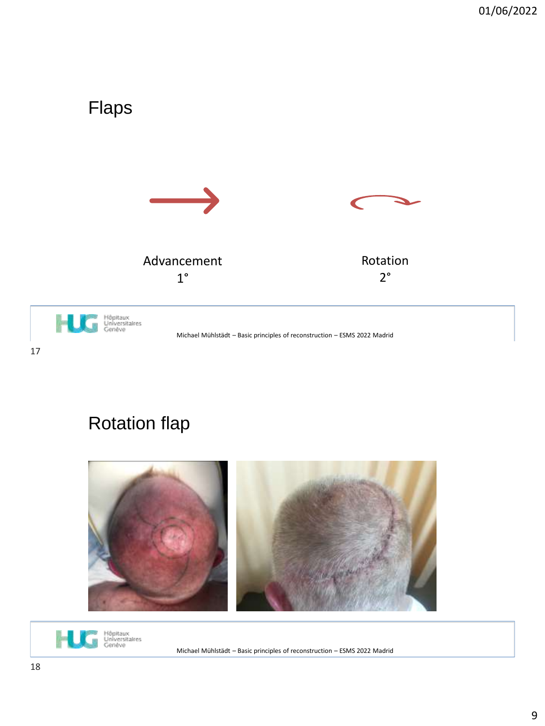

# Rotation flap



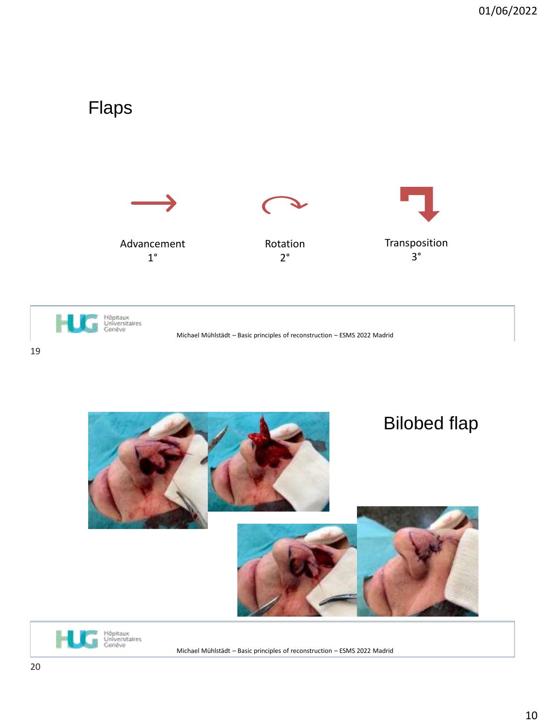

19



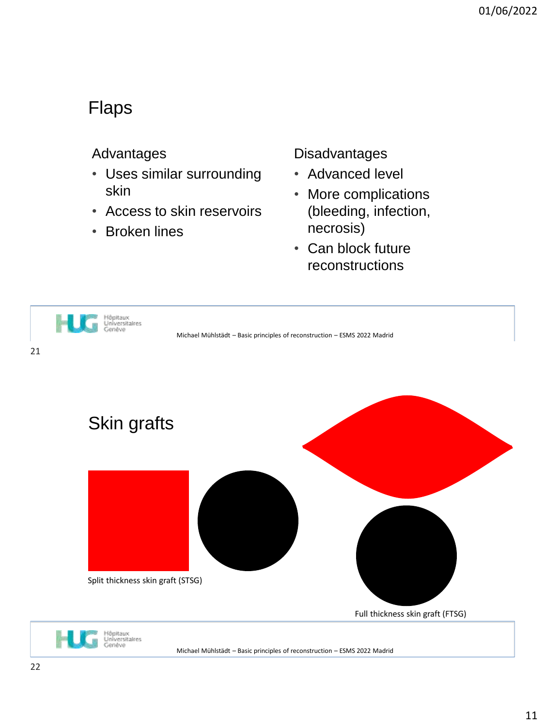#### Flaps

#### Advantages

- Uses similar surrounding skin
- Access to skin reservoirs
- Broken lines

#### Disadvantages

- Advanced level
- More complications (bleeding, infection, necrosis)
- Can block future reconstructions

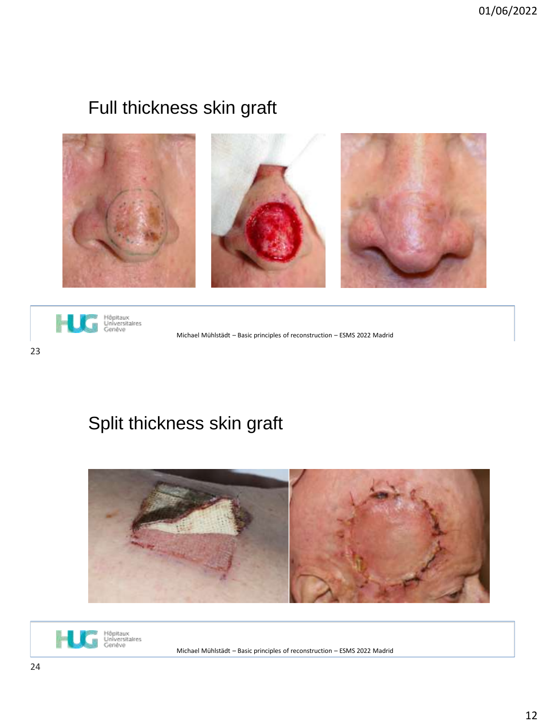## Full thickness skin graft





Michael Mühlstädt – Basic principles of reconstruction – ESMS 2022 Madrid

## Split thickness skin graft



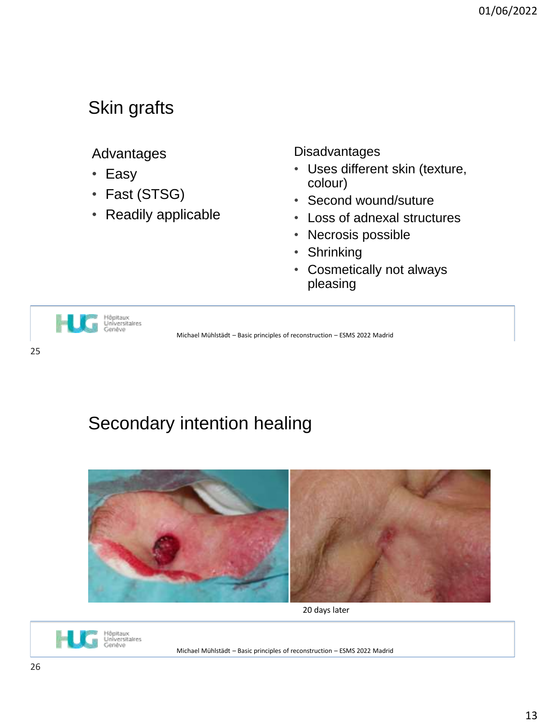### Skin grafts

#### Advantages

- Easy
- Fast (STSG)
- Readily applicable

Disadvantages

- Uses different skin (texture, colour)
- Second wound/suture
- Loss of adnexal structures
- Necrosis possible
- Shrinking
- Cosmetically not always pleasing



Michael Mühlstädt – Basic principles of reconstruction – ESMS 2022 Madrid

### Secondary intention healing



20 days later

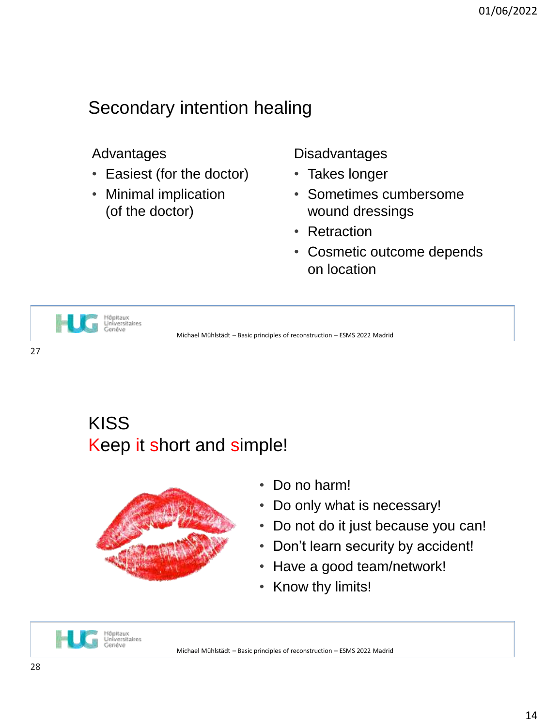### Secondary intention healing

#### Advantages

- Easiest (for the doctor)
- Minimal implication (of the doctor)

**Disadvantages** 

- Takes longer
- Sometimes cumbersome wound dressings
- Retraction
- Cosmetic outcome depends on location



Michael Mühlstädt – Basic principles of reconstruction – ESMS 2022 Madrid

27

### KISS Keep it short and simple!



- Do no harm!
- Do only what is necessary!
- Do not do it just because you can!
- Don't learn security by accident!
- Have a good team/network!
- Know thy limits!